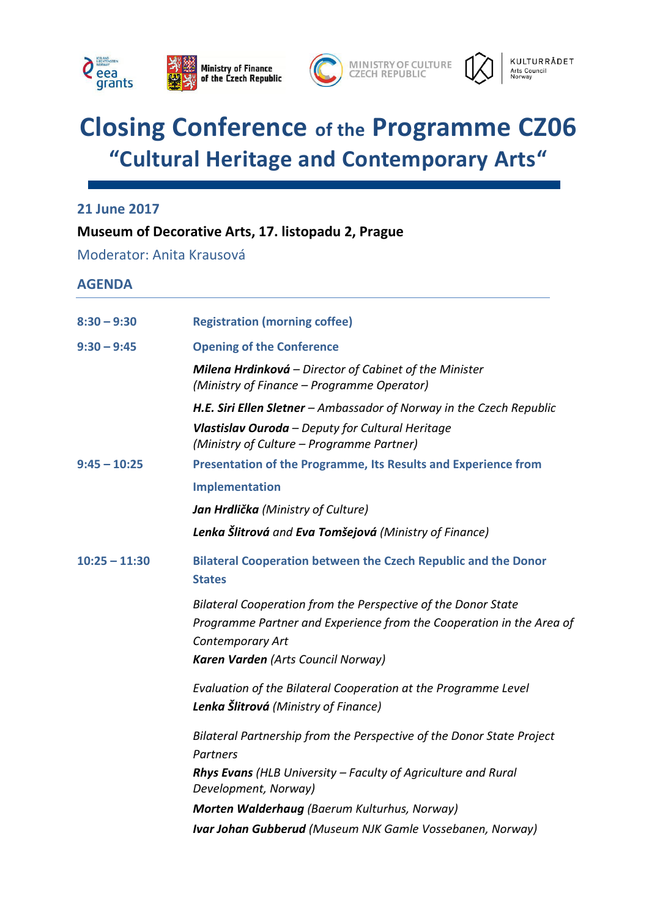



# **Closing Conference of the Programme CZ06 "Cultural Heritage and Contemporary Arts"**

**21 June 2017**

### **Museum of Decorative Arts, 17. listopadu 2, Prague**

Moderator: Anita Krausová

## **AGENDA**

| $8:30 - 9:30$   | <b>Registration (morning coffee)</b>                                                                   |
|-----------------|--------------------------------------------------------------------------------------------------------|
| $9:30 - 9:45$   | <b>Opening of the Conference</b>                                                                       |
|                 | Milena Hrdinková - Director of Cabinet of the Minister<br>(Ministry of Finance – Programme Operator)   |
|                 | H.E. Siri Ellen Sletner - Ambassador of Norway in the Czech Republic                                   |
|                 | Vlastislav Ouroda - Deputy for Cultural Heritage<br>(Ministry of Culture – Programme Partner)          |
| $9:45 - 10:25$  | Presentation of the Programme, Its Results and Experience from                                         |
|                 | Implementation                                                                                         |
|                 | Jan Hrdlička (Ministry of Culture)                                                                     |
|                 | Lenka Šlitrová and Eva Tomšejová (Ministry of Finance)                                                 |
| $10:25 - 11:30$ | <b>Bilateral Cooperation between the Czech Republic and the Donor</b><br><b>States</b>                 |
|                 | Bilateral Cooperation from the Perspective of the Donor State                                          |
|                 | Programme Partner and Experience from the Cooperation in the Area of<br><b>Contemporary Art</b>        |
|                 | Karen Varden (Arts Council Norway)                                                                     |
|                 | Evaluation of the Bilateral Cooperation at the Programme Level<br>Lenka Šlitrová (Ministry of Finance) |
|                 | Bilateral Partnership from the Perspective of the Donor State Project                                  |
|                 | Partners                                                                                               |
|                 | <b>Rhys Evans</b> (HLB University – Faculty of Agriculture and Rural<br>Development, Norway)           |
|                 | Morten Walderhaug (Baerum Kulturhus, Norway)                                                           |
|                 | Ivar Johan Gubberud (Museum NJK Gamle Vossebanen, Norway)                                              |
|                 |                                                                                                        |